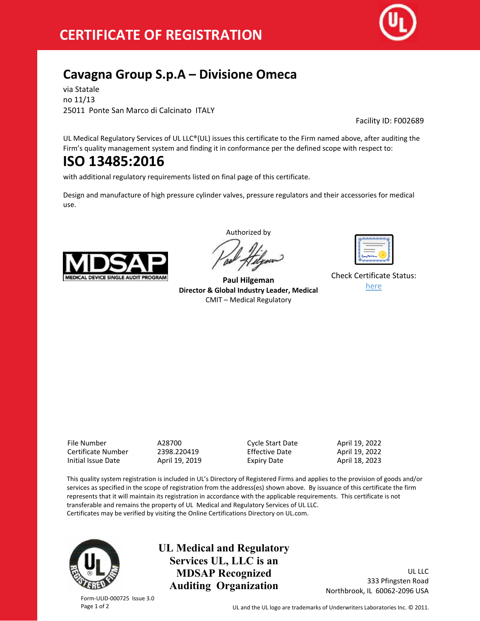

# **Cavagna Group S.p.A – Divisione Omeca**

via Statale no 11/13 25011 Ponte San Marco di Calcinato ITALY

Facility ID: F002689

UL Medical Regulatory Services of UL LLC®(UL) issues this certificate to the Firm named above, after auditing the Firm's quality management system and finding it in conformance per the defined scope with respect to:

# **ISO 13485:2016**

with additional regulatory requirements listed on final page of this certificate.

Design and manufacture of high pressure cylinder valves, pressure regulators and their accessories for medical use.



Authorized by

**Paul Hilgeman Director & Global Industry Leader, Medical** CMIT – Medical Regulatory

| ے |  |
|---|--|

Check Certificate Status: [here](http://database.ul.com/certs/AZBA.A28700.pdf)

File Number A28700 Cycle Start Date April 19, 2022 Certificate Number 2398.220419 Effective Date April 19, 2022 Initial Issue Date April 19, 2019 Expiry Date April 18, 2023

This quality system registration is included in UL's Directory of Registered Firms and applies to the provision of goods and/or services as specified in the scope of registration from the address(es) shown above. By issuance of this certificate the firm represents that it will maintain its registration in accordance with the applicable requirements. This certificate is not transferable and remains the property of UL Medical and Regulatory Services of UL LLC. Certificates may be verified by visiting the Online Certifications Directory on UL.com.



Form-ULID-000725 Issue 3.0

**UL Medical and Regulatory Services UL, LLC is an MDSAP Recognized Auditing Organization**

UL LLC 333 Pfingsten Road Northbrook, IL 60062-2096 USA